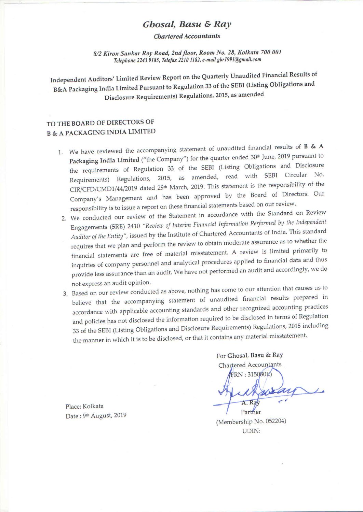## Ghosal, Basu & Ray

**Chartered Accountants** 

8/2 Kiron Sankar Roy Road, 2nd floor, Room No. 28, Kolkata 700 001 Telephone 2243 9185, Telefax 2210 1182, e-mail gbr1991@gmail.com

Independent Auditors' Limited Review Report on the Quarterly Unaudited Financial Results of B&A Packaging India Limited Pursuant to Regulation 33 of the SEBI (Listing Obligations and Disclosure Requirements) Regulations, 2015, as amended

## TO THE BOARD OF DIRECTORS OF **B & A PACKAGING INDIA LIMITED**

- 1. We have reviewed the accompanying statement of unaudited financial results of  $B \& A$ Packaging India Limited ("the Company") for the quarter ended 30<sup>th</sup> June, 2019 pursuant to the requirements of Regulation 33 of the SEBI (Listing Obligations and Disclosure Requirements) Regulations, 2015, as amended, read with SEBI Circular No. CIR/CFD/CMD1/44/2019 dated 29<sup>th</sup> March, 2019. This statement is the responsibility of the Company's Management and has been approved by the Board of Directors. Our responsibility is to issue a report on these financial statements based on our review.
	- 2. We conducted our review of the Statement in accordance with the Standard on Review Engagements (SRE) 2410 "Review of Interim Financial Information Performed by the Independent Auditor of the Entity", issued by the Institute of Chartered Accountants of India. This standard requires that we plan and perform the review to obtain moderate assurance as to whether the financial statements are free of material misstatement. A review is limited primarily to inquiries of company personnel and analytical procedures applied to financial data and thus provide less assurance than an audit. We have not performed an audit and accordingly, we do not express an audit opinion.
	- 3. Based on our review conducted as above, nothing has come to our attention that causes us to believe that the accompanying statement of unaudited financial results prepared in accordance with applicable accounting standards and other recognized accounting practices and policies has not disclosed the information required to be disclosed in terms of Regulation 33 of the SEBI (Listing Obligations and Disclosure Requirements) Regulations, 2015 including the manner in which it is to be disclosed, or that it contains any material misstatement.

For Ghosal, Basu & Ray Chartered Accountants

FRN: 315080E)

Place: Kolkata Date: 9th August, 2019

(Membership No. 052204) **UDIN:** 

Partner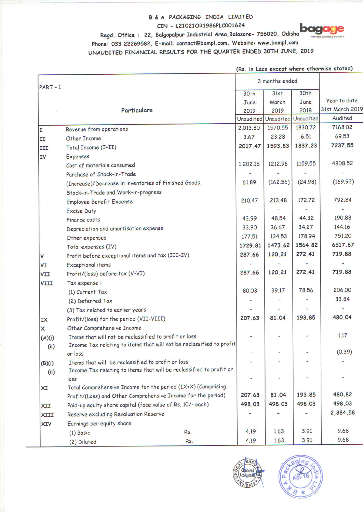### B & A PACKAGING INDIA LIMITED CIN - L21021OR1986PLC001624

**DOC** 

## Regd. Office: 22, Balgopalpur Industrial Area, Balasore- 756020, Odisha

# Phone: 033 22269582, E-mail: contact@bampl.com, Website: www.bampl.com

UNAUDITED FINANCIAL RESULTS FOR THE QUARTER ENDED 30TH JUNE, 2019

| (Rs. in Lacs except where otherwise stated) |  |  |  |
|---------------------------------------------|--|--|--|
|---------------------------------------------|--|--|--|

| $PART - 1$ |                                                                      | 3 months ended   |                               |                  |                 |
|------------|----------------------------------------------------------------------|------------------|-------------------------------|------------------|-----------------|
|            |                                                                      | 30 <sub>th</sub> | 31st                          | 30 <sup>th</sup> |                 |
|            |                                                                      | June             | March                         | June             | Year to date    |
|            | Particulars                                                          | 2019             | 2019                          | 2018             | 31st March 2019 |
|            |                                                                      |                  | Unaudited Unaudited Unaudited |                  | Audited         |
| I          | Revenue from operations                                              | 2,013.80         | 1570.55                       | 1830.72          | 7168.02         |
| II         | Other Income                                                         | 3.67             | 23.28                         | 6.51             | 69.53           |
| III        | Total Income (I+II)                                                  | 2017.47          | 1593.83                       | 1837.23          | 7237.55         |
| <b>IV</b>  | <b>Expenses</b>                                                      |                  |                               |                  |                 |
|            | Cost of materials consumed                                           | 1,202.15         | 1212.96                       | 1159.55          | 4808.52         |
|            | Purchase of Stock-in-Trade                                           |                  |                               |                  |                 |
|            | (Increase)/Decrease in inventories of Finished Goods,                | 61.89            | (162.56)                      | (24.98)          | (169.93)        |
|            | Stock-in-Trade and Work-in-progress                                  |                  |                               |                  |                 |
|            | <b>Employee Benefit Expense</b>                                      | 210.47           | 213.48                        | 172.72           | 792.84          |
|            | <b>Excise Duty</b>                                                   |                  |                               |                  |                 |
|            | Finance costs                                                        | 43.99            | 48.54                         | 44.32            | 190.88          |
|            | Depreciation and amortisation expense                                | 33.80            | 36.67                         | 34.27            | 144.16          |
|            | Other expenses                                                       | 177.51           | 124.53                        | 178.94           | 751.20          |
|            | Total expenses (IV)                                                  | 1729.81          | 1473.62                       | 1564.82          | 6517.67         |
| ٧          | Profit before exceptional items and tax (III-IV)                     | 287.66           | 120.21                        | 272.41           | 719.88          |
| VI         | <b>Exceptional items</b>                                             |                  |                               |                  |                 |
| VII        | Profit/(loss) before tax (V-VI)                                      | 287.66           | 120.21                        | 272.41           | 719.88          |
| VIII       | Tax expense :                                                        |                  |                               |                  |                 |
|            | (1) Current Tax                                                      | 80.03            | 39.17                         | 78.56            | 206.00          |
|            | (2) Deferred Tax                                                     |                  |                               |                  | 33.84           |
|            | (3) Tax related to earlier years                                     |                  |                               |                  |                 |
| IX         | Profit/(loss) for the period (VII-VIII)                              | 207.63           | 81.04                         | 193.85           | 480.04          |
| ×          | Other Comprehensive Income                                           |                  |                               |                  |                 |
| (A)(i)     | Items that will not be reclassified to profit or loss                |                  |                               |                  | 1.17            |
| (i)        | Income Tax relating to items that will not be reclassified to profit |                  |                               |                  |                 |
|            | or loss                                                              |                  |                               |                  | (0.39)          |
| (B)(i)     | Items that will be reclassified to profit or loss                    |                  |                               |                  |                 |
| (ii)       | Income Tax relating to items that will be reclassified to profit or  |                  |                               |                  |                 |
|            | loss                                                                 |                  |                               |                  |                 |
| XI         | Total Comprehensive Income for the period (IX+X) (Comprising         |                  |                               |                  |                 |
|            | Profit/(Loss) and Other Comprehensive Income for the period)         | 207.63           | 81.04                         | 193.85           | 480.82          |
| XII        | Paid-up equity share capital (face value of Rs. 10/- each)           | 498.03           | 498.03                        | 498.03           | 498.03          |
| XIII       | Reserve excluding Revaluation Reserve                                |                  |                               |                  | 2,384.58        |
| <b>XIV</b> | Earnings per equity share                                            |                  |                               |                  |                 |
|            | Rs.<br>$(1)$ Basic                                                   | 4.19             | 1.63                          | 3.91             | 9.68            |
|            | Rs.<br>(2) Diluted                                                   | 4.19             | 1.63                          | 3.91             | 9.68            |



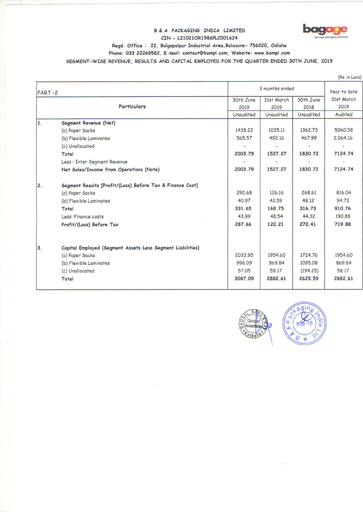### B & A PACKAGING INDIA LIMITED CIN - L21021OR1986PLC001624



Regd. Office: 22, Balgopalpur Industrial Area, Balasore- 756020, Odisha

Phone: 033 22269582, E-mail: contact@bampl.com, Website: www.bampl.com

SEGMENT-WISE REVENUE, RESULTS AND CAPITAL EMPLOYED FOR THE QUARTER ENDED 30TH JUNE, 2019

|                                                                  |           |                |           | (Rs. in Lacs) |
|------------------------------------------------------------------|-----------|----------------|-----------|---------------|
| PART-2                                                           |           | 3 months ended |           |               |
|                                                                  | 30th June | 31st March     | 30th June | 31st March    |
| <b>Particulars</b>                                               | 2019      | 2019           | 2018      | 2019          |
|                                                                  | Unaudited | Unaudited      | Unaudited | Audited       |
| 1.<br>Segment Revenue (Net)                                      |           |                |           |               |
| (a) Paper Sacks                                                  | 1438.22   | 1035.11        | 1362.73   | 5060.58       |
| (b) Flexible Laminates                                           | 565.57    | 492.16         | 467.99    | 2,064.16      |
| (c) Unallocated                                                  |           |                |           |               |
| Total                                                            | 2003.79   | 1527.27        | 1830.72   | 7124.74       |
| Less : Inter Segment Revenue                                     |           |                |           |               |
| Net Sales/Income from Operations (Note)                          | 2003.79   | 1527.27        | 1830.72   | 7124.74       |
| Segment Results [Profit/(Loss) Before Tax & Finance Cost]<br>2.  |           |                |           |               |
| (a) Paper Sacks                                                  | 290.68    | 126.16         | 268.61    | 816.04        |
| (b) Flexible Laminates                                           | 40.97     | 42.59          | 48.12     | 94.72         |
| Total                                                            | 331.65    | 168.75         | 316.73    | 910.76        |
| Less: Finance costs                                              | 43.99     | 48.54          | 44.32     | 190.88        |
| Profit/(Loss) Before Tax                                         | 287.66    | 120.21         | 272.41    | 719.88        |
| 3.<br>Capital Employed (Segment Assets Less Segment Liabilities) |           |                |           |               |
| (a) Paper Sacks                                                  | 2033.95   | 1954.60        | 1724.76   | 1954.60       |
| (b) Flexible Laminates                                           | 996.09    | 869.84         | 1095.08   | 869.84        |
|                                                                  | 57.05     | 58.17          | (194.25)  | 58.17         |
| (c) Unallocated                                                  |           | 2882.61        | 2625.59   | 2882.61       |
| Total                                                            | 3087.09   |                |           |               |